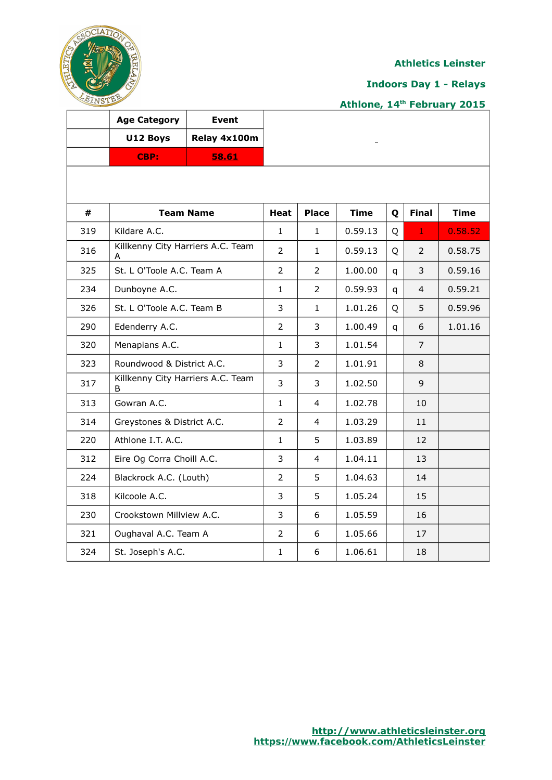

## **Indoors Day 1 - Relays**

# **Athlone, 14th February 2015**

|     | <b>Age Category</b>                    | <b>Event</b>     |                |                |             |   |                |             |
|-----|----------------------------------------|------------------|----------------|----------------|-------------|---|----------------|-------------|
|     | U12 Boys                               | Relay 4x100m     |                |                |             |   |                |             |
|     | CBP:                                   | 58.61            |                |                |             |   |                |             |
|     |                                        |                  |                |                |             |   |                |             |
| #   |                                        | <b>Team Name</b> | Heat           | <b>Place</b>   | <b>Time</b> | Q | <b>Final</b>   | <b>Time</b> |
| 319 | Kildare A.C.                           |                  | $\mathbf{1}$   | 1              | 0.59.13     | Q | $\mathbf{1}$   | 0.58.52     |
| 316 | Killkenny City Harriers A.C. Team<br>A |                  | $\overline{2}$ | $\mathbf{1}$   | 0.59.13     | Q | 2              | 0.58.75     |
| 325 | St. L O'Toole A.C. Team A              |                  | $\overline{2}$ | 2              | 1.00.00     | q | 3              | 0.59.16     |
| 234 | Dunboyne A.C.                          |                  | 1              | 2              | 0.59.93     | q | 4              | 0.59.21     |
| 326 | St. L O'Toole A.C. Team B              |                  | 3              | 1              | 1.01.26     | Q | 5              | 0.59.96     |
| 290 | Edenderry A.C.                         |                  | $\overline{2}$ | 3              | 1.00.49     | q | 6              | 1.01.16     |
| 320 | Menapians A.C.                         |                  | $\mathbf{1}$   | 3              | 1.01.54     |   | $\overline{7}$ |             |
| 323 | Roundwood & District A.C.              |                  | 3              | $\overline{2}$ | 1.01.91     |   | 8              |             |
| 317 | Killkenny City Harriers A.C. Team<br>B |                  | 3              | 3              | 1.02.50     |   | 9              |             |
| 313 | Gowran A.C.                            |                  | $\mathbf{1}$   | 4              | 1.02.78     |   | 10             |             |
| 314 | Greystones & District A.C.             |                  | $\overline{2}$ | 4              | 1.03.29     |   | 11             |             |
| 220 | Athlone I.T. A.C.                      |                  | $\mathbf{1}$   | 5              | 1.03.89     |   | 12             |             |
| 312 | Eire Og Corra Choill A.C.              |                  | 3              | 4              | 1.04.11     |   | 13             |             |
| 224 | Blackrock A.C. (Louth)                 |                  | $\overline{2}$ | 5              | 1.04.63     |   | 14             |             |
| 318 | Kilcoole A.C.                          |                  | 3              | 5              | 1.05.24     |   | 15             |             |
| 230 | Crookstown Millview A.C.               |                  | 3              | 6              | 1.05.59     |   | 16             |             |
| 321 | Oughaval A.C. Team A                   |                  | $\overline{2}$ | 6              | 1.05.66     |   | 17             |             |
| 324 | St. Joseph's A.C.                      |                  | 1              | 6              | 1.06.61     |   | 18             |             |

Ť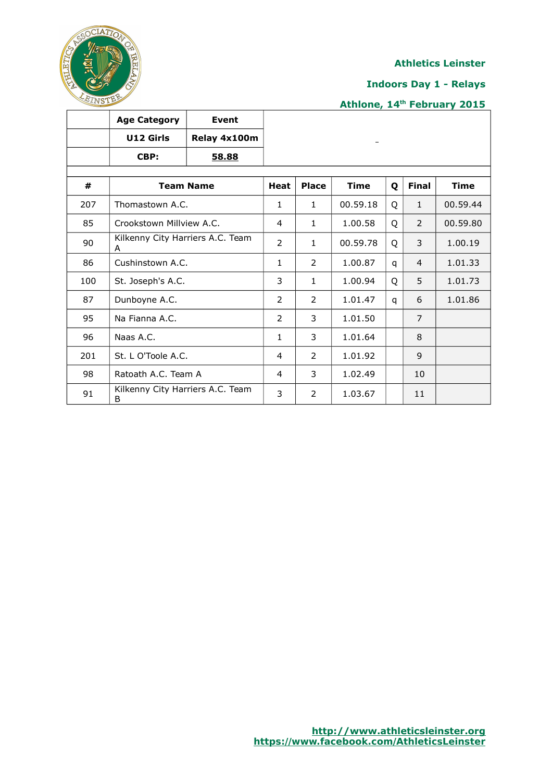

## **Indoors Day 1 - Relays**

|     | <b>Age Category</b>                   | <b>Event</b>     |                |                |             |   |                |             |
|-----|---------------------------------------|------------------|----------------|----------------|-------------|---|----------------|-------------|
|     | U12 Girls                             | Relay 4x100m     |                |                |             |   |                |             |
|     | CBP:                                  | <u>58.88</u>     |                |                |             |   |                |             |
|     |                                       |                  |                |                |             |   |                |             |
| #   |                                       | <b>Team Name</b> | <b>Heat</b>    | <b>Place</b>   | <b>Time</b> | Q | <b>Final</b>   | <b>Time</b> |
| 207 | Thomastown A.C.                       |                  | 1              | $\mathbf{1}$   | 00.59.18    | Q | $\mathbf{1}$   | 00.59.44    |
| 85  | Crookstown Millview A.C.              |                  | 4              | 1              | 1.00.58     | Q | $\overline{2}$ | 00.59.80    |
| 90  | Kilkenny City Harriers A.C. Team<br>A |                  | $\overline{2}$ | $\mathbf{1}$   | 00.59.78    | Q | 3              | 1.00.19     |
| 86  | Cushinstown A.C.                      |                  | 1              | $\overline{2}$ | 1.00.87     | q | $\overline{4}$ | 1.01.33     |
| 100 | St. Joseph's A.C.                     |                  | 3              | $\mathbf{1}$   | 1.00.94     | Q | 5              | 1.01.73     |
| 87  | Dunboyne A.C.                         |                  | 2              | 2              | 1.01.47     | q | 6              | 1.01.86     |
| 95  | Na Fianna A.C.                        |                  | 2              | 3              | 1.01.50     |   | $\overline{7}$ |             |
| 96  | Naas A.C.                             |                  | $\mathbf{1}$   | 3              | 1.01.64     |   | 8              |             |
| 201 | St. L O'Toole A.C.                    |                  | 4              | 2              | 1.01.92     |   | 9              |             |
| 98  | Ratoath A.C. Team A                   |                  | 4              | 3              | 1.02.49     |   | 10             |             |
| 91  | Kilkenny City Harriers A.C. Team<br>B |                  | 3              | $\overline{2}$ | 1.03.67     |   | 11             |             |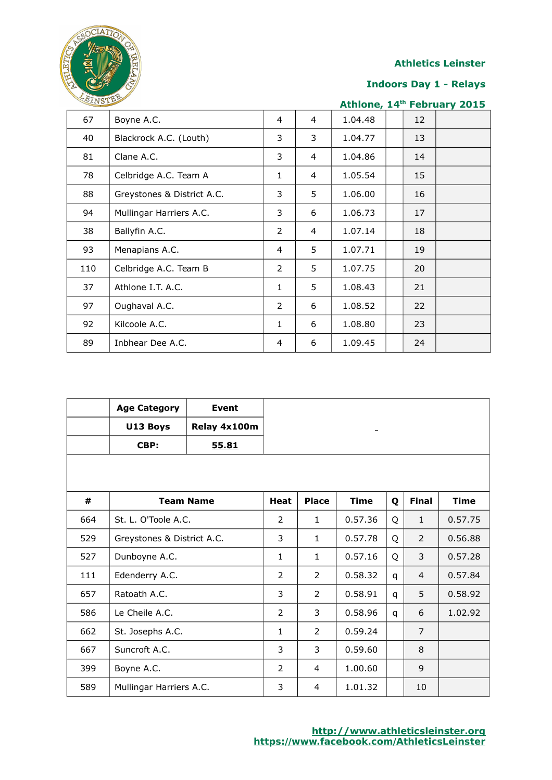

## **Indoors Day 1 - Relays**

| <b>ATIAD TANK</b> |                            |                |                |         |    | Athlone, 14th February 2015 |
|-------------------|----------------------------|----------------|----------------|---------|----|-----------------------------|
| 67                | Boyne A.C.                 | $\overline{4}$ | $\overline{4}$ | 1.04.48 | 12 |                             |
| 40                | Blackrock A.C. (Louth)     | 3              | 3              | 1.04.77 | 13 |                             |
| 81                | Clane A.C.                 | 3              | $\overline{4}$ | 1.04.86 | 14 |                             |
| 78                | Celbridge A.C. Team A      | $\mathbf{1}$   | $\overline{4}$ | 1.05.54 | 15 |                             |
| 88                | Greystones & District A.C. | 3              | 5              | 1.06.00 | 16 |                             |
| 94                | Mullingar Harriers A.C.    | 3              | 6              | 1.06.73 | 17 |                             |
| 38                | Ballyfin A.C.              | $\overline{2}$ | $\overline{4}$ | 1.07.14 | 18 |                             |
| 93                | Menapians A.C.             | 4              | 5              | 1.07.71 | 19 |                             |
| 110               | Celbridge A.C. Team B      | 2              | 5              | 1.07.75 | 20 |                             |
| 37                | Athlone I.T. A.C.          | 1              | 5              | 1.08.43 | 21 |                             |
| 97                | Oughaval A.C.              | 2              | 6              | 1.08.52 | 22 |                             |
| 92                | Kilcoole A.C.              | $\mathbf{1}$   | 6              | 1.08.80 | 23 |                             |
| 89                | Inbhear Dee A.C.           | 4              | 6              | 1.09.45 | 24 |                             |

|     | <b>Age Category</b>        | <b>Event</b>     |              |              |             |   |                |             |
|-----|----------------------------|------------------|--------------|--------------|-------------|---|----------------|-------------|
|     | U13 Boys                   | Relay 4x100m     |              |              |             |   |                |             |
|     | CBP:                       | 55.81            |              |              |             |   |                |             |
|     |                            |                  |              |              |             |   |                |             |
|     |                            |                  |              |              |             |   |                |             |
| #   |                            | <b>Team Name</b> | <b>Heat</b>  | <b>Place</b> | <b>Time</b> | Q | <b>Final</b>   | <b>Time</b> |
| 664 | St. L. O'Toole A.C.        |                  | 2            | $\mathbf{1}$ | 0.57.36     | Q | $\mathbf{1}$   | 0.57.75     |
| 529 | Greystones & District A.C. |                  | 3            | 1            | 0.57.78     | Q | $\overline{2}$ | 0.56.88     |
| 527 | Dunboyne A.C.              |                  | $\mathbf{1}$ | $\mathbf{1}$ | 0.57.16     | Q | 3              | 0.57.28     |
| 111 | Edenderry A.C.             |                  | 2            | 2            | 0.58.32     | q | $\overline{4}$ | 0.57.84     |
| 657 | Ratoath A.C.               |                  | 3            | 2            | 0.58.91     | q | 5              | 0.58.92     |
| 586 | Le Cheile A.C.             |                  | 2            | 3            | 0.58.96     | q | 6              | 1.02.92     |
| 662 | St. Josephs A.C.           |                  | $\mathbf{1}$ | 2            | 0.59.24     |   | $\overline{7}$ |             |
| 667 | Suncroft A.C.              |                  | 3            | 3            | 0.59.60     |   | 8              |             |
| 399 | Boyne A.C.                 |                  | 2            | 4            | 1.00.60     |   | 9              |             |
| 589 | Mullingar Harriers A.C.    |                  | 3            | 4            | 1.01.32     |   | 10             |             |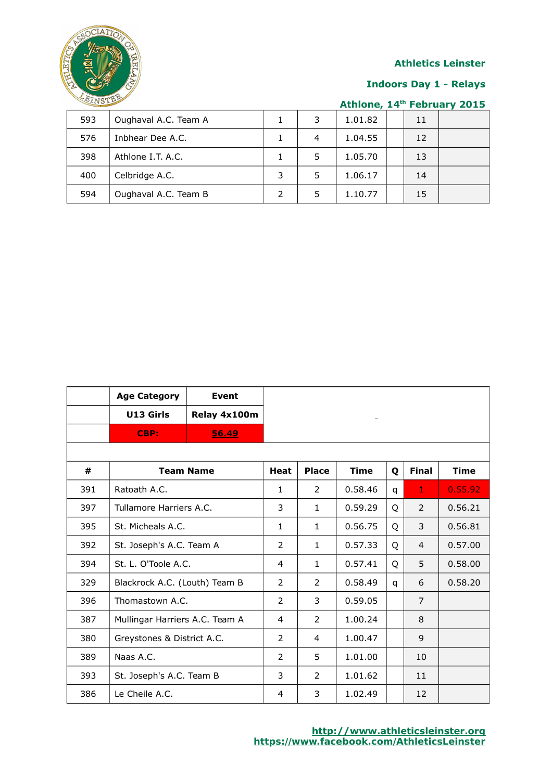

## **Indoors Day 1 - Relays**

| 593 | Oughaval A.C. Team A | 3 | 1.01.82 | 11 |  |
|-----|----------------------|---|---------|----|--|
| 576 | Inbhear Dee A.C.     | 4 | 1.04.55 | 12 |  |
| 398 | Athlone I.T. A.C.    | 5 | 1.05.70 | 13 |  |
| 400 | Celbridge A.C.       | 5 | 1.06.17 | 14 |  |
| 594 | Oughaval A.C. Team B | 5 | 1.10.77 | 15 |  |

|     | <b>Age Category</b>            | <b>Event</b>     |                |              |             |   |                |             |
|-----|--------------------------------|------------------|----------------|--------------|-------------|---|----------------|-------------|
|     | U13 Girls                      | Relay 4x100m     |                |              | -           |   |                |             |
|     | CBP:                           | 56.49            |                |              |             |   |                |             |
|     |                                |                  |                |              |             |   |                |             |
| #   |                                | <b>Team Name</b> | <b>Heat</b>    | <b>Place</b> | <b>Time</b> | Q | <b>Final</b>   | <b>Time</b> |
| 391 | Ratoath A.C.                   |                  | $\mathbf{1}$   | 2            | 0.58.46     | q | 1              | 0.55.92     |
| 397 | Tullamore Harriers A.C.        |                  | 3              | $\mathbf{1}$ | 0.59.29     | Q | 2              | 0.56.21     |
| 395 | St. Micheals A.C.              |                  | $\mathbf{1}$   | $\mathbf{1}$ | 0.56.75     | Q | 3              | 0.56.81     |
| 392 | St. Joseph's A.C. Team A       |                  | $\overline{2}$ | $\mathbf{1}$ | 0.57.33     | Q | 4              | 0.57.00     |
| 394 | St. L. O'Toole A.C.            |                  | 4              | $\mathbf{1}$ | 0.57.41     | 0 | 5              | 0.58.00     |
| 329 | Blackrock A.C. (Louth) Team B  |                  | 2              | 2            | 0.58.49     | q | 6              | 0.58.20     |
| 396 | Thomastown A.C.                |                  | $\overline{2}$ | 3            | 0.59.05     |   | $\overline{7}$ |             |
| 387 | Mullingar Harriers A.C. Team A |                  | 4              | 2            | 1.00.24     |   | 8              |             |
| 380 | Greystones & District A.C.     |                  | $\mathcal{P}$  | 4            | 1.00.47     |   | $\mathsf{q}$   |             |
| 389 | Naas A.C.                      |                  | 2              | 5            | 1.01.00     |   | 10             |             |
| 393 | St. Joseph's A.C. Team B       |                  | 3              | 2            | 1.01.62     |   | 11             |             |
| 386 | Le Cheile A.C.                 |                  | 4              | 3            | 1.02.49     |   | 12             |             |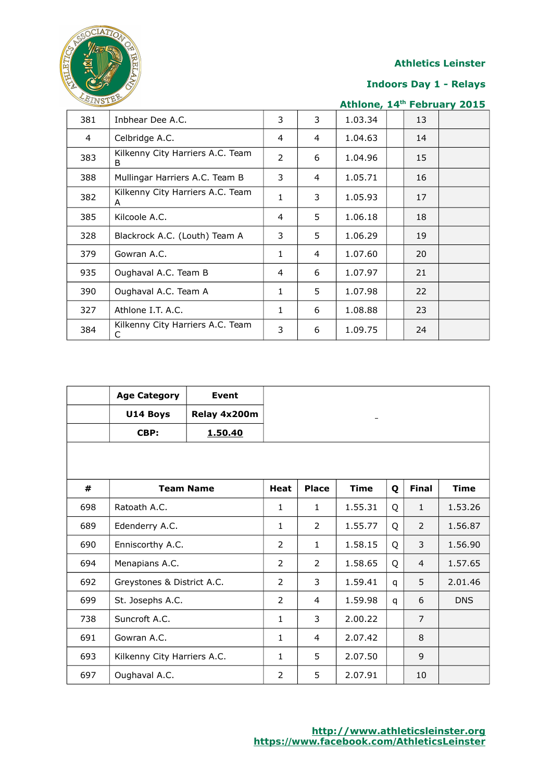

## **Indoors Day 1 - Relays**

| EINSTE         |                                       |                |   |         |    | Athlone, 14th February 2015 |
|----------------|---------------------------------------|----------------|---|---------|----|-----------------------------|
| 381            | Inbhear Dee A.C.                      | 3              | 3 | 1.03.34 | 13 |                             |
| $\overline{a}$ | Celbridge A.C.                        | 4              | 4 | 1.04.63 | 14 |                             |
| 383            | Kilkenny City Harriers A.C. Team<br>B | $\overline{2}$ | 6 | 1.04.96 | 15 |                             |
| 388            | Mullingar Harriers A.C. Team B        | 3              | 4 | 1.05.71 | 16 |                             |
| 382            | Kilkenny City Harriers A.C. Team<br>A | $\mathbf{1}$   | 3 | 1.05.93 | 17 |                             |
| 385            | Kilcoole A.C.                         | 4              | 5 | 1.06.18 | 18 |                             |
| 328            | Blackrock A.C. (Louth) Team A         | 3              | 5 | 1.06.29 | 19 |                             |
| 379            | Gowran A.C.                           | 1              | 4 | 1.07.60 | 20 |                             |
| 935            | Oughaval A.C. Team B                  | 4              | 6 | 1.07.97 | 21 |                             |
| 390            | Oughaval A.C. Team A                  | 1              | 5 | 1.07.98 | 22 |                             |
| 327            | Athlone I.T. A.C.                     | 1              | 6 | 1.08.88 | 23 |                             |
| 384            | Kilkenny City Harriers A.C. Team<br>С | 3              | 6 | 1.09.75 | 24 |                             |

|     | <b>Age Category</b>         | <b>Event</b>     |                |              |             |   |                |             |
|-----|-----------------------------|------------------|----------------|--------------|-------------|---|----------------|-------------|
|     | U14 Boys                    | Relay 4x200m     |                |              |             |   |                |             |
|     | CBP:                        | 1.50.40          |                |              |             |   |                |             |
|     |                             |                  |                |              |             |   |                |             |
| #   |                             | <b>Team Name</b> | <b>Heat</b>    | <b>Place</b> | <b>Time</b> | Q | <b>Final</b>   | <b>Time</b> |
|     |                             |                  |                |              |             |   |                |             |
| 698 | Ratoath A.C.                |                  | 1              | $\mathbf{1}$ | 1.55.31     | Q | $\mathbf{1}$   | 1.53.26     |
| 689 | Edenderry A.C.              |                  | 1              | 2            | 1.55.77     | Q | 2              | 1.56.87     |
| 690 | Enniscorthy A.C.            |                  | 2              | $\mathbf{1}$ | 1.58.15     | Q | 3              | 1.56.90     |
| 694 | Menapians A.C.              |                  | 2              | 2            | 1.58.65     | Q | $\overline{4}$ | 1.57.65     |
| 692 | Greystones & District A.C.  |                  | $\overline{2}$ | 3            | 1.59.41     | q | 5              | 2.01.46     |
| 699 | St. Josephs A.C.            |                  | 2              | 4            | 1.59.98     | q | 6              | <b>DNS</b>  |
| 738 | Suncroft A.C.               |                  | 1              | 3            | 2.00.22     |   | $\overline{7}$ |             |
| 691 | Gowran A.C.                 |                  | 1              | 4            | 2.07.42     |   | 8              |             |
| 693 | Kilkenny City Harriers A.C. |                  | 1              | 5            | 2.07.50     |   | 9              |             |
| 697 | Oughaval A.C.               |                  | 2              | 5            | 2.07.91     |   | 10             |             |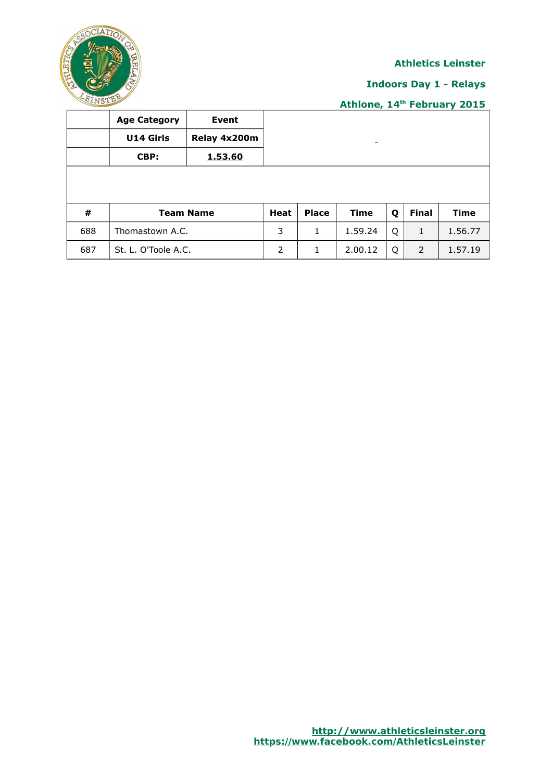

## **Indoors Day 1 - Relays**

|     | <b>Age Category</b> | Event            |             |              |                 |   |              |             |
|-----|---------------------|------------------|-------------|--------------|-----------------|---|--------------|-------------|
|     | <b>U14 Girls</b>    | Relay 4x200m     |             |              | $\qquad \qquad$ |   |              |             |
|     | CBP:                | 1.53.60          |             |              |                 |   |              |             |
|     |                     |                  |             |              |                 |   |              |             |
|     |                     |                  |             |              |                 |   |              |             |
| #   |                     | <b>Team Name</b> | <b>Heat</b> | <b>Place</b> | <b>Time</b>     | Q | <b>Final</b> | <b>Time</b> |
| 688 | Thomastown A.C.     |                  | 3           | 1            | 1.59.24         | Q | 1            | 1.56.77     |
| 687 | St. L. O'Toole A.C. |                  | 2           | 1            | 2.00.12         | Q | 2            | 1.57.19     |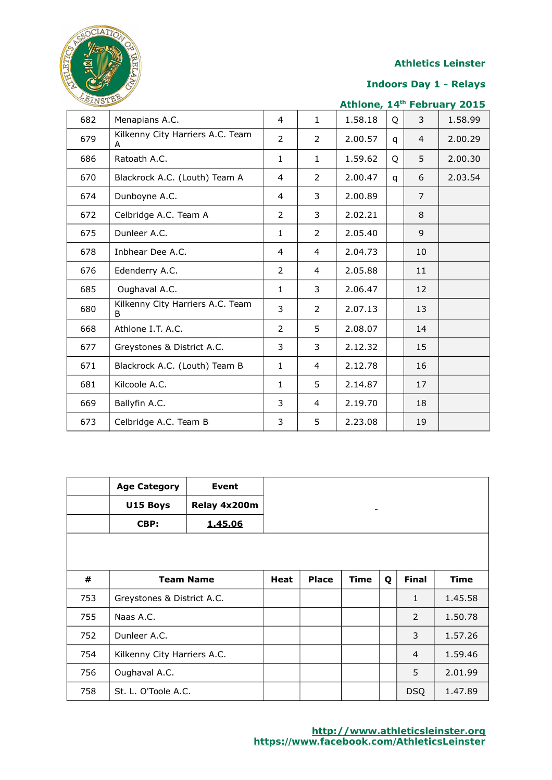

## **Indoors Day 1 - Relays**

| LEINSTER |                                       |                |              |         |   | Athlone, 14th February 2015 |         |
|----------|---------------------------------------|----------------|--------------|---------|---|-----------------------------|---------|
| 682      | Menapians A.C.                        | 4              | $\mathbf{1}$ | 1.58.18 | Q | 3                           | 1.58.99 |
| 679      | Kilkenny City Harriers A.C. Team<br>A | $\overline{2}$ | 2            | 2.00.57 | q | $\overline{4}$              | 2.00.29 |
| 686      | Ratoath A.C.                          | $\mathbf{1}$   | 1            | 1.59.62 | Q | 5                           | 2.00.30 |
| 670      | Blackrock A.C. (Louth) Team A         | $\overline{4}$ | 2            | 2.00.47 | q | 6                           | 2.03.54 |
| 674      | Dunboyne A.C.                         | $\overline{4}$ | 3            | 2.00.89 |   | $\overline{7}$              |         |
| 672      | Celbridge A.C. Team A                 | $\overline{2}$ | 3            | 2.02.21 |   | 8                           |         |
| 675      | Dunleer A.C.                          | $\mathbf{1}$   | 2            | 2.05.40 |   | 9                           |         |
| 678      | Inbhear Dee A.C.                      | $\overline{4}$ | 4            | 2.04.73 |   | 10                          |         |
| 676      | Edenderry A.C.                        | $\overline{2}$ | 4            | 2.05.88 |   | 11                          |         |
| 685      | Oughaval A.C.                         | $\mathbf{1}$   | 3            | 2.06.47 |   | 12                          |         |
| 680      | Kilkenny City Harriers A.C. Team<br>B | 3              | 2            | 2.07.13 |   | 13                          |         |
| 668      | Athlone I.T. A.C.                     | $\overline{2}$ | 5            | 2.08.07 |   | 14                          |         |
| 677      | Greystones & District A.C.            | 3              | 3            | 2.12.32 |   | 15                          |         |
| 671      | Blackrock A.C. (Louth) Team B         | $\mathbf{1}$   | 4            | 2.12.78 |   | 16                          |         |
| 681      | Kilcoole A.C.                         | $\mathbf{1}$   | 5            | 2.14.87 |   | 17                          |         |
| 669      | Ballyfin A.C.                         | 3              | 4            | 2.19.70 |   | 18                          |         |
| 673      | Celbridge A.C. Team B                 | 3              | 5            | 2.23.08 |   | 19                          |         |

|     | <b>Age Category</b>         | Event            |             |              |             |   |                |             |
|-----|-----------------------------|------------------|-------------|--------------|-------------|---|----------------|-------------|
|     | U15 Boys                    | Relay 4x200m     |             |              | -           |   |                |             |
|     | CBP:                        | 1.45.06          |             |              |             |   |                |             |
|     |                             |                  |             |              |             |   |                |             |
|     |                             |                  |             |              |             |   |                |             |
| #   |                             | <b>Team Name</b> | <b>Heat</b> | <b>Place</b> | <b>Time</b> | Q | <b>Final</b>   | <b>Time</b> |
| 753 | Greystones & District A.C.  |                  |             |              |             |   | 1              | 1.45.58     |
| 755 | Naas A.C.                   |                  |             |              |             |   | 2              | 1.50.78     |
| 752 | Dunleer A.C.                |                  |             |              |             |   | 3              | 1.57.26     |
| 754 | Kilkenny City Harriers A.C. |                  |             |              |             |   | $\overline{4}$ | 1.59.46     |
| 756 | Oughaval A.C.               |                  |             |              |             |   | 5              | 2.01.99     |
| 758 | St. L. O'Toole A.C.         |                  |             |              |             |   | <b>DSQ</b>     | 1.47.89     |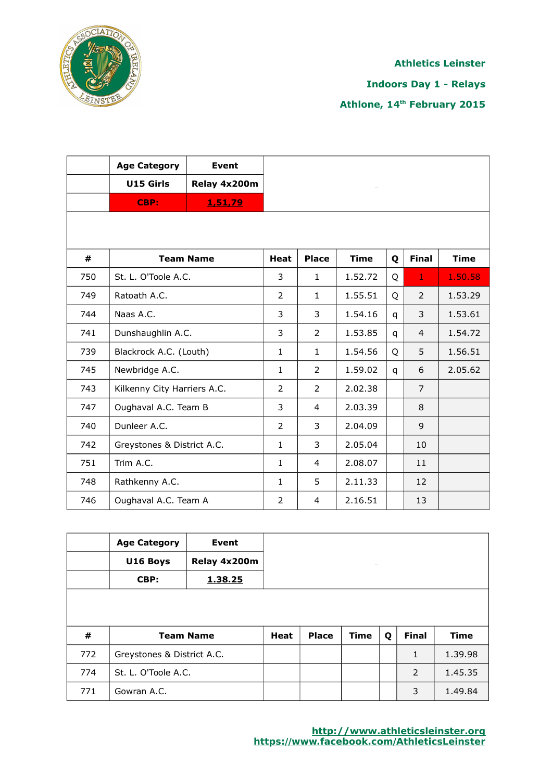

**Indoors Day 1 - Relays**

|     | <b>Age Category</b>         | Event            |                |                          |             |   |                |             |
|-----|-----------------------------|------------------|----------------|--------------------------|-------------|---|----------------|-------------|
|     | U15 Girls                   | Relay 4x200m     |                |                          |             |   |                |             |
|     | CBP:                        | 1,51,79          |                |                          |             |   |                |             |
|     |                             |                  |                |                          |             |   |                |             |
| #   |                             | <b>Team Name</b> | <b>Heat</b>    | <b>Place</b>             | <b>Time</b> | Q | <b>Final</b>   | <b>Time</b> |
| 750 | St. L. O'Toole A.C.         |                  | 3              | $\mathbf{1}$             | 1.52.72     | Q | $\mathbf 1$    | 1.50.58     |
| 749 | Ratoath A.C.                |                  | $\overline{2}$ | $\mathbf{1}$             | 1.55.51     | Q | $\overline{2}$ | 1.53.29     |
| 744 | Naas A.C.                   |                  | 3              | 3                        | 1.54.16     | q | 3              | 1.53.61     |
| 741 | Dunshaughlin A.C.           |                  | 3              | $\overline{\phantom{a}}$ | 1.53.85     | q | $\overline{4}$ | 1.54.72     |
| 739 | Blackrock A.C. (Louth)      |                  | 1              | $\mathbf{1}$             | 1.54.56     | Q | 5              | 1.56.51     |
| 745 | Newbridge A.C.              |                  | $\mathbf{1}$   | 2                        | 1.59.02     | q | 6              | 2.05.62     |
| 743 | Kilkenny City Harriers A.C. |                  | $\overline{2}$ | 2                        | 2.02.38     |   | $\overline{7}$ |             |
| 747 | Oughaval A.C. Team B        |                  | 3              | 4                        | 2.03.39     |   | 8              |             |
| 740 | Dunleer A.C.                |                  | $\overline{2}$ | 3                        | 2.04.09     |   | 9              |             |
| 742 | Greystones & District A.C.  |                  | $\mathbf{1}$   | 3                        | 2.05.04     |   | 10             |             |
| 751 | Trim A.C.                   |                  | $\mathbf{1}$   | $\overline{4}$           | 2.08.07     |   | 11             |             |
| 748 | Rathkenny A.C.              |                  | $\mathbf{1}$   | 5                        | 2.11.33     |   | 12             |             |
| 746 | Oughaval A.C. Team A        |                  | $\overline{2}$ | 4                        | 2.16.51     |   | 13             |             |

|     | <b>Age Category</b><br>U16 Boys<br>CBP: | Event<br>Relay 4x200m<br>1.38.25 |             |              | -           |   |              |             |
|-----|-----------------------------------------|----------------------------------|-------------|--------------|-------------|---|--------------|-------------|
| #   | <b>Team Name</b>                        |                                  | <b>Heat</b> | <b>Place</b> | <b>Time</b> | Q | <b>Final</b> | <b>Time</b> |
| 772 | Greystones & District A.C.              |                                  |             |              |             |   | 1            | 1.39.98     |
| 774 | St. L. O'Toole A.C.                     |                                  |             |              |             |   | 2            | 1.45.35     |
| 771 | Gowran A.C.                             |                                  |             |              |             |   | 3            | 1.49.84     |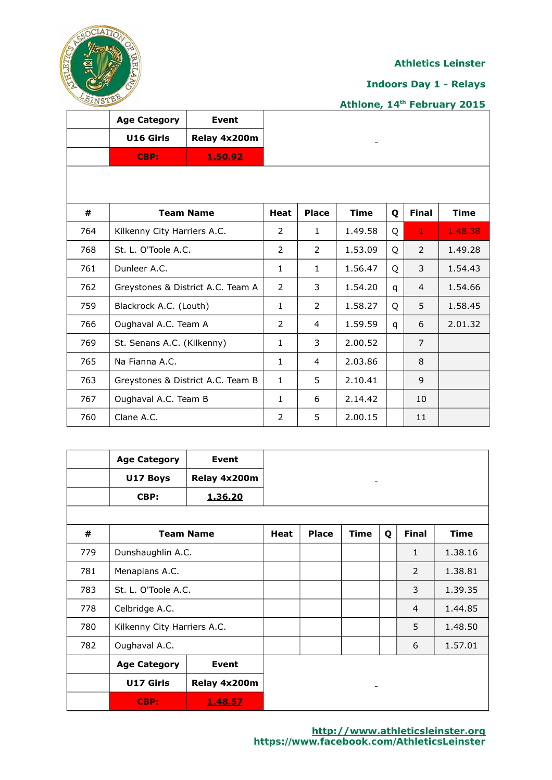

## **Indoors Day 1 - Relays**

|     | <b>Age Category</b>               | Event                             |                |              |                   |   |                |             |
|-----|-----------------------------------|-----------------------------------|----------------|--------------|-------------------|---|----------------|-------------|
|     | U16 Girls                         | Relay 4x200m                      |                |              | $\qquad \qquad -$ |   |                |             |
|     | CBP:                              | 1.50.92                           |                |              |                   |   |                |             |
|     |                                   |                                   |                |              |                   |   |                |             |
| #   |                                   | <b>Team Name</b>                  | Heat           | <b>Place</b> | <b>Time</b>       | Q | <b>Final</b>   | <b>Time</b> |
| 764 | Kilkenny City Harriers A.C.       |                                   | $\overline{2}$ | $\mathbf{1}$ | 1.49.58           | Q | $\mathbf{1}$   | 1.48.38     |
| 768 | St. L. O'Toole A.C.               |                                   | $\overline{2}$ | 2            | 1.53.09           | Q | 2              | 1.49.28     |
| 761 | Dunleer A.C.                      |                                   | $\mathbf{1}$   | $\mathbf{1}$ | 1.56.47           | Q | 3              | 1.54.43     |
| 762 | Greystones & District A.C. Team A |                                   | 2              | 3            | 1.54.20           | q | $\overline{4}$ | 1.54.66     |
| 759 | Blackrock A.C. (Louth)            |                                   | $\mathbf{1}$   | 2            | 1.58.27           | Q | 5              | 1.58.45     |
| 766 | Oughaval A.C. Team A              |                                   | 2              | 4            | 1.59.59           | q | 6              | 2.01.32     |
| 769 | St. Senans A.C. (Kilkenny)        |                                   | $\mathbf{1}$   | 3            | 2.00.52           |   | 7              |             |
| 765 | Na Fianna A.C.                    |                                   | $\mathbf{1}$   | 4            | 2.03.86           |   | 8              |             |
| 763 |                                   | Greystones & District A.C. Team B | $\mathbf{1}$   | 5            | 2.10.41           |   | 9              |             |
| 767 | Oughaval A.C. Team B              |                                   | $\mathbf{1}$   | 6            | 2.14.42           |   | 10             |             |
| 760 | Clane A.C.                        |                                   | $\overline{2}$ | 5            | 2.00.15           |   | 11             |             |

|     | <b>Age Category</b><br>U17 Boys | Event<br>Relay 4x200m |      |              |             |   |                |             |
|-----|---------------------------------|-----------------------|------|--------------|-------------|---|----------------|-------------|
|     | CBP:                            | 1.36.20               |      |              |             |   |                |             |
|     |                                 |                       |      |              |             |   |                |             |
| #   | <b>Team Name</b>                |                       | Heat | <b>Place</b> | <b>Time</b> | Q | <b>Final</b>   | <b>Time</b> |
| 779 | Dunshaughlin A.C.               |                       |      |              |             |   | $\mathbf{1}$   | 1.38.16     |
| 781 | Menapians A.C.                  |                       |      |              |             |   | 2              | 1.38.81     |
| 783 | St. L. O'Toole A.C.             |                       |      |              |             |   | 3              | 1.39.35     |
| 778 | Celbridge A.C.                  |                       |      |              |             |   | $\overline{4}$ | 1.44.85     |
| 780 | Kilkenny City Harriers A.C.     |                       |      |              |             |   | 5              | 1.48.50     |
| 782 | Oughaval A.C.                   |                       |      |              |             |   | 6              | 1.57.01     |
|     | <b>Age Category</b>             | Event                 |      |              |             |   |                |             |
|     | U17 Girls                       | Relay 4x200m          |      |              |             |   |                |             |
|     | CBP:                            | 1.48.57               |      |              |             |   |                |             |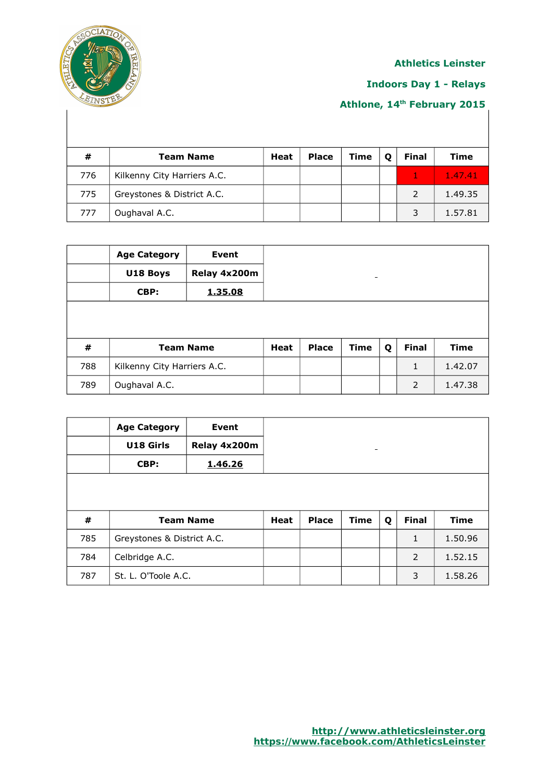

## **Indoors Day 1 - Relays**

| #   | <b>Team Name</b>            | Heat | <b>Place</b> | <b>Time</b> | Ω | <b>Final</b> | <b>Time</b> |
|-----|-----------------------------|------|--------------|-------------|---|--------------|-------------|
| 776 | Kilkenny City Harriers A.C. |      |              |             |   |              | 1.47.41     |
| 775 | Greystones & District A.C.  |      |              |             |   |              | 1.49.35     |
| 777 | Oughaval A.C.               |      |              |             |   |              | 1.57.81     |

|     | <b>Age Category</b>         | Event        |      |              |             |   |              |             |
|-----|-----------------------------|--------------|------|--------------|-------------|---|--------------|-------------|
|     | U18 Boys                    | Relay 4x200m |      |              | -           |   |              |             |
|     | CBP:                        | 1.35.08      |      |              |             |   |              |             |
|     |                             |              |      |              |             |   |              |             |
| #   | <b>Team Name</b>            |              | Heat | <b>Place</b> | <b>Time</b> | Q | <b>Final</b> | <b>Time</b> |
| 788 | Kilkenny City Harriers A.C. |              |      |              |             |   | $\mathbf{1}$ | 1.42.07     |
| 789 | Oughaval A.C.               |              |      |              |             |   | 2            | 1.47.38     |

|     | <b>Age Category</b>        | Event        |             |              |             |   |              |             |
|-----|----------------------------|--------------|-------------|--------------|-------------|---|--------------|-------------|
|     | U18 Girls                  | Relay 4x200m |             |              |             |   |              |             |
|     | CBP:                       | 1.46.26      |             |              |             |   |              |             |
|     |                            |              |             |              |             |   |              |             |
|     |                            |              |             |              |             |   |              |             |
| #   | <b>Team Name</b>           |              | <b>Heat</b> | <b>Place</b> | <b>Time</b> | Q | <b>Final</b> | <b>Time</b> |
| 785 | Greystones & District A.C. |              |             |              |             |   | $\mathbf{1}$ | 1.50.96     |
| 784 | Celbridge A.C.             |              |             |              |             |   | 2            | 1.52.15     |
| 787 | St. L. O'Toole A.C.        |              |             |              |             |   | 3            | 1.58.26     |